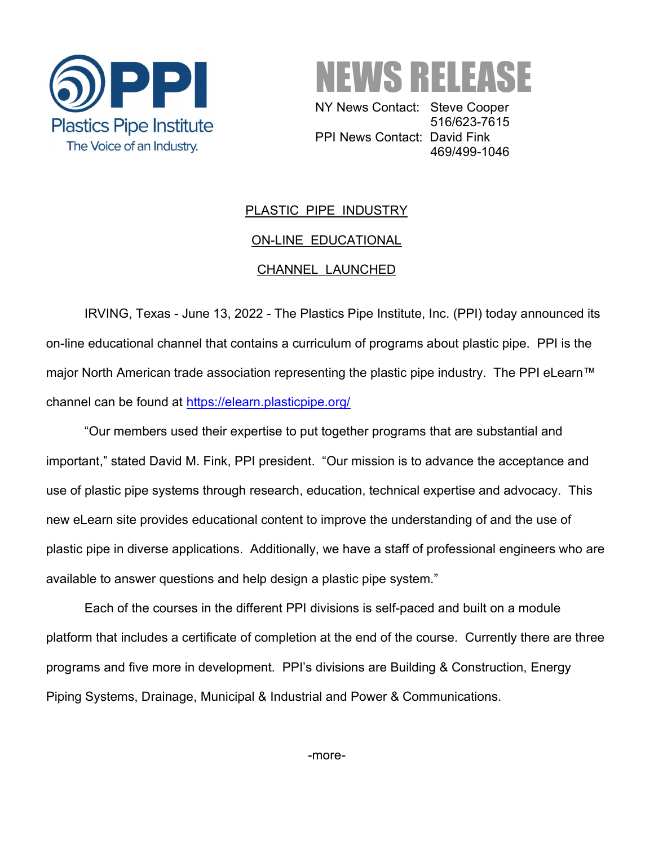



 NY News Contact: Steve Cooper 516/623-7615 PPI News Contact: David Fink 469/499-1046

## PLASTIC PIPE INDUSTRY ON-LINE EDUCATIONAL CHANNEL LAUNCHED

IRVING, Texas - June 13, 2022 - The Plastics Pipe Institute, Inc. (PPI) today announced its on-line educational channel that contains a curriculum of programs about plastic pipe. PPI is the major North American trade association representing the plastic pipe industry. The PPI eLearn™ channel can be found at https://elearn.plasticpipe.org/

"Our members used their expertise to put together programs that are substantial and important," stated David M. Fink, PPI president. "Our mission is to advance the acceptance and use of plastic pipe systems through research, education, technical expertise and advocacy. This new eLearn site provides educational content to improve the understanding of and the use of plastic pipe in diverse applications. Additionally, we have a staff of professional engineers who are available to answer questions and help design a plastic pipe system."

Each of the courses in the different PPI divisions is self-paced and built on a module platform that includes a certificate of completion at the end of the course. Currently there are three programs and five more in development. PPI's divisions are Building & Construction, Energy Piping Systems, Drainage, Municipal & Industrial and Power & Communications.